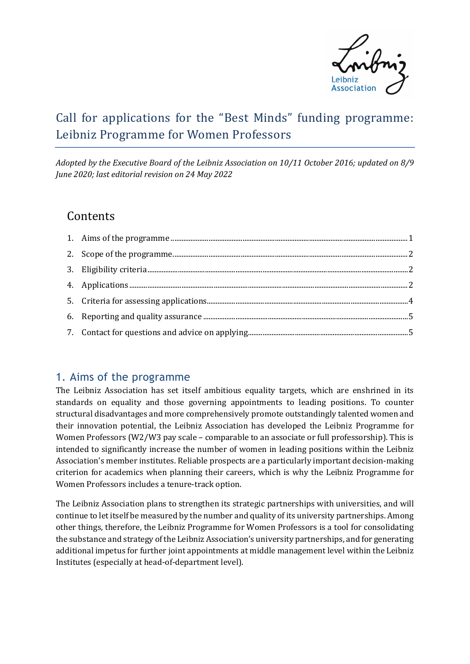

# Call for applications for the "Best Minds" funding programme: Leibniz Programme for Women Professors

*Adopted by the Executive Board of the Leibniz Association on 10/11 October 2016; updated on 8/9 June 2020; last editorial revision on 24 May 2022*

## **Contents**

### 1. Aims of the programme

The Leibniz Association has set itself ambitious equality targets, which are enshrined in its standards on equality and those governing appointments to leading positions. To counter structural disadvantages and more comprehensively promote outstandingly talented women and their innovation potential, the Leibniz Association has developed the Leibniz Programme for Women Professors (W2/W3 pay scale – comparable to an associate or full professorship). This is intended to significantly increase the number of women in leading positions within the Leibniz Association's member institutes. Reliable prospects are a particularly important decision-making criterion for academics when planning their careers, which is why the Leibniz Programme for Women Professors includes a tenure-track option.

The Leibniz Association plans to strengthen its strategic partnerships with universities, and will continue to let itself be measured by the number and quality of its university partnerships. Among other things, therefore, the Leibniz Programme for Women Professors is a tool for consolidating the substance and strategy of the Leibniz Association's university partnerships, and for generating additional impetus for further joint appointments at middle management level within the Leibniz Institutes (especially at head-of-department level).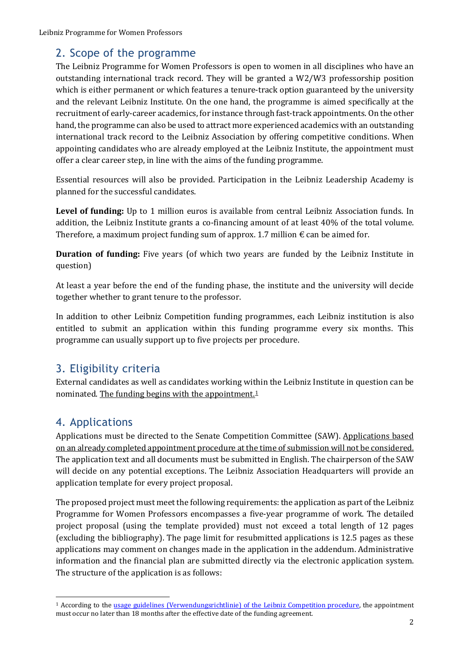## 2. Scope of the programme

The Leibniz Programme for Women Professors is open to women in all disciplines who have an outstanding international track record. They will be granted a W2/W3 professorship position which is either permanent or which features a tenure-track option guaranteed by the university and the relevant Leibniz Institute. On the one hand, the programme is aimed specifically at the recruitment of early-career academics, for instance through fast-track appointments. On the other hand, the programme can also be used to attract more experienced academics with an outstanding international track record to the Leibniz Association by offering competitive conditions. When appointing candidates who are already employed at the Leibniz Institute, the appointment must offer a clear career step, in line with the aims of the funding programme.

Essential resources will also be provided. Participation in the Leibniz Leadership Academy is planned for the successful candidates.

**Level of funding:** Up to 1 million euros is available from central Leibniz Association funds. In addition, the Leibniz Institute grants a co-financing amount of at least 40% of the total volume. Therefore, a maximum project funding sum of approx. 1.7 million  $\epsilon$  can be aimed for.

**Duration of funding:** Five years (of which two years are funded by the Leibniz Institute in question)

At least a year before the end of the funding phase, the institute and the university will decide together whether to grant tenure to the professor.

In addition to other Leibniz Competition funding programmes, each Leibniz institution is also entitled to submit an application within this funding programme every six months. This programme can usually support up to five projects per procedure.

# 3. Eligibility criteria

External candidates as well as candidates working within the Leibniz Institute in question can be nominated. The funding begins with the appointment.[1](#page-1-0)

# 4. Applications

Applications must be directed to the Senate Competition Committee (SAW). Applications based on an already completed appointment procedure at the time of submission will not be considered. The application text and all documents must be submitted in English. The chairperson of the SAW will decide on any potential exceptions. The Leibniz Association Headquarters will provide an application template for every project proposal.

The proposed project must meet the following requirements: the application as part of the Leibniz Programme for Women Professors encompasses a five-year programme of work. The detailed project proposal (using the template provided) must not exceed a total length of 12 pages (excluding the bibliography). The page limit for resubmitted applications is 12.5 pages as these applications may comment on changes made in the application in the addendum. Administrative information and the financial plan are submitted directly via the electronic application system. The structure of the application is as follows:

<span id="page-1-0"></span><sup>&</sup>lt;sup>1</sup> According to the usage [guidelines \(Verwendungsrichtlinie\) of the Leibniz Competition procedure,](https://www.leibniz-gemeinschaft.de/fileadmin/user_upload/Bilder_und_Downloads/Forschung/Wettbewerb/Dokumente/16_Verwendungsrichtlinien.pdf) the appointment must occur no later than 18 months after the effective date of the funding agreement.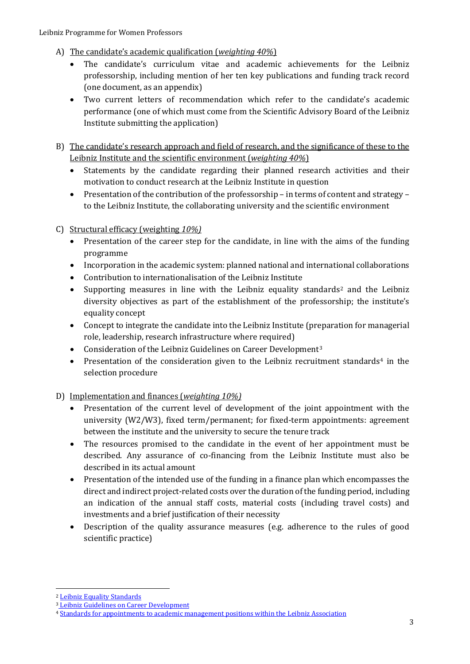- A) The candidate's academic qualification (*weighting 40%*)
	- The candidate's curriculum vitae and academic achievements for the Leibniz professorship, including mention of her ten key publications and funding track record (one document, as an appendix)
	- Two current letters of recommendation which refer to the candidate's academic performance (one of which must come from the Scientific Advisory Board of the Leibniz Institute submitting the application)
- B) The candidate's research approach and field of research, and the significance of these to the Leibniz Institute and the scientific environment (*weighting 40%*)
	- Statements by the candidate regarding their planned research activities and their motivation to conduct research at the Leibniz Institute in question
	- Presentation of the contribution of the professorship in terms of content and strategy to the Leibniz Institute, the collaborating university and the scientific environment
- C) Structural efficacy (weighting *10%)*
	- Presentation of the career step for the candidate, in line with the aims of the funding programme
	- Incorporation in the academic system: planned national and international collaborations
	- Contribution to internationalisation of the Leibniz Institute
	- Supporting measures in line with the Leibniz equality standards<sup>[2](#page-2-0)</sup> and the Leibniz diversity objectives as part of the establishment of the professorship; the institute's equality concept
	- Concept to integrate the candidate into the Leibniz Institute (preparation for managerial role, leadership, research infrastructure where required)
	- Consideration of the Leibniz Guidelines on Career Development<sup>[3](#page-2-1)</sup>
	- Presentation of the consideration given to the Leibniz recruitment standards<sup>[4](#page-2-2)</sup> in the selection procedure
- D) Implementation and finances (*weighting 10%)*
	- Presentation of the current level of development of the joint appointment with the university (W2/W3), fixed term/permanent; for fixed-term appointments: agreement between the institute and the university to secure the tenure track
	- The resources promised to the candidate in the event of her appointment must be described. Any assurance of co-financing from the Leibniz Institute must also be described in its actual amount
	- Presentation of the intended use of the funding in a finance plan which encompasses the direct and indirect project-related costs over the duration of the funding period, including an indication of the annual staff costs, material costs (including travel costs) and investments and a brief justification of their necessity
	- Description of the quality assurance measures (e.g. adherence to the rules of good scientific practice)

<span id="page-2-0"></span> <sup>2</sup> [Leibniz Equality Standards](https://www.leibniz-gemeinschaft.de/fileadmin/user_upload/Bilder_und_Downloads/Forschung/Wettbewerb/Dokumente/Gleichstellungsstandards_2016_EN.pdf)

<span id="page-2-1"></span><sup>3</sup> [Leibniz Guidelines on Career Development](https://www.leibniz-gemeinschaft.de/fileadmin/user_upload/Bilder_und_Downloads/%C3%9Cber_uns/Karriere/Broschuere-Leibniz-Leitlinie-Karriereentwicklung-2020_WEB.pdf)

<span id="page-2-2"></span><sup>4</sup> [Standards for appointments to academic management positions within the Leibniz Association](https://www.leibniz-gemeinschaft.de/fileadmin/user_upload/Bilder_und_Downloads/Neues/Mediathek/Publikationen/Magazin/Materialien/Gemeinschaft/Besetzungsstandards_Web.pdf)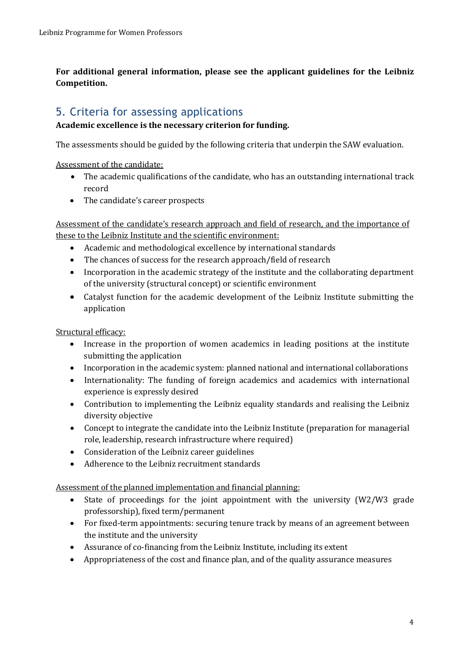**For additional general information, please see the applicant guidelines for the Leibniz Competition.**

### 5. Criteria for assessing applications

#### **Academic excellence is the necessary criterion for funding.**

The assessments should be guided by the following criteria that underpin the SAW evaluation.

Assessment of the candidate:

- The academic qualifications of the candidate, who has an outstanding international track record
- The candidate's career prospects

Assessment of the candidate's research approach and field of research, and the importance of these to the Leibniz Institute and the scientific environment:

- Academic and methodological excellence by international standards
- The chances of success for the research approach/field of research
- Incorporation in the academic strategy of the institute and the collaborating department of the university (structural concept) or scientific environment
- Catalyst function for the academic development of the Leibniz Institute submitting the application

Structural efficacy:

- Increase in the proportion of women academics in leading positions at the institute submitting the application
- Incorporation in the academic system: planned national and international collaborations
- Internationality: The funding of foreign academics and academics with international experience is expressly desired
- Contribution to implementing the Leibniz equality standards and realising the Leibniz diversity objective
- Concept to integrate the candidate into the Leibniz Institute (preparation for managerial role, leadership, research infrastructure where required)
- Consideration of the Leibniz career guidelines
- Adherence to the Leibniz recruitment standards

Assessment of the planned implementation and financial planning:

- State of proceedings for the joint appointment with the university (W2/W3 grade professorship), fixed term/permanent
- For fixed-term appointments: securing tenure track by means of an agreement between the institute and the university
- Assurance of co-financing from the Leibniz Institute, including its extent
- Appropriateness of the cost and finance plan, and of the quality assurance measures